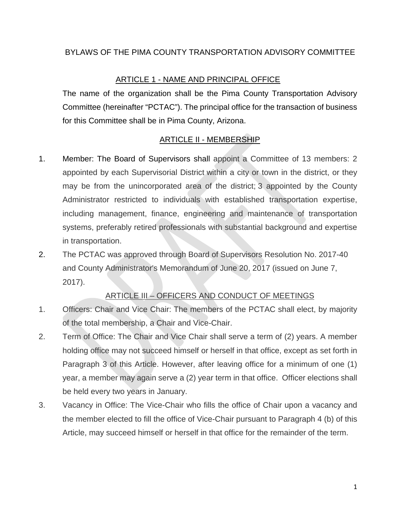#### BYLAWS OF THE PIMA COUNTY TRANSPORTATION ADVISORY COMMITTEE

### ARTICLE 1 - NAME AND PRINCIPAL OFFICE

The name of the organization shall be the Pima County Transportation Advisory Committee (hereinafter "PCTAC"). The principal office for the transaction of business for this Committee shall be in Pima County, Arizona.

#### ARTICLE II - MEMBERSHIP

- 1. Member: The Board of Supervisors shall appoint a Committee of 13 members: 2 appointed by each Supervisorial District within a city or town in the district, or they may be from the unincorporated area of the district; 3 appointed by the County Administrator restricted to individuals with established transportation expertise, including management, finance, engineering and maintenance of transportation systems, preferably retired professionals with substantial background and expertise in transportation.
- 2. The PCTAC was approved through Board of Supervisors Resolution No. 2017-40 and County Administrator's Memorandum of June 20, 2017 (issued on June 7, 2017).

# ARTICLE III – OFFICERS AND CONDUCT OF MEETINGS

- 1. Officers: Chair and Vice Chair: The members of the PCTAC shall elect, by majority of the total membership, a Chair and Vice-Chair.
- 2. Term of Office: The Chair and Vice Chair shall serve a term of (2) years. A member holding office may not succeed himself or herself in that office, except as set forth in Paragraph 3 of this Article. However, after leaving office for a minimum of one (1) year, a member may again serve a (2) year term in that office. Officer elections shall be held every two years in January.
- 3. Vacancy in Office: The Vice-Chair who fills the office of Chair upon a vacancy and the member elected to fill the office of Vice-Chair pursuant to Paragraph 4 (b) of this Article, may succeed himself or herself in that office for the remainder of the term.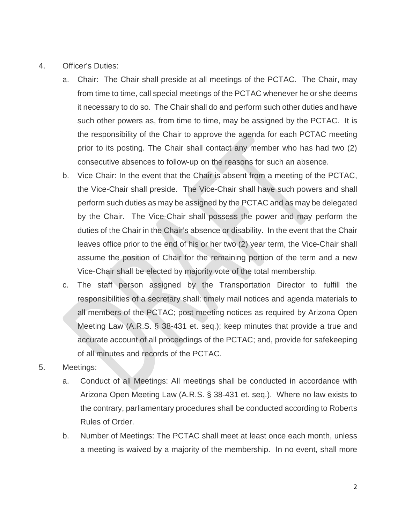- 4. Officer's Duties:
	- a. Chair: The Chair shall preside at all meetings of the PCTAC. The Chair, may from time to time, call special meetings of the PCTAC whenever he or she deems it necessary to do so. The Chair shall do and perform such other duties and have such other powers as, from time to time, may be assigned by the PCTAC. It is the responsibility of the Chair to approve the agenda for each PCTAC meeting prior to its posting. The Chair shall contact any member who has had two (2) consecutive absences to follow-up on the reasons for such an absence.
	- b. Vice Chair: In the event that the Chair is absent from a meeting of the PCTAC, the Vice-Chair shall preside. The Vice-Chair shall have such powers and shall perform such duties as may be assigned by the PCTAC and as may be delegated by the Chair. The Vice-Chair shall possess the power and may perform the duties of the Chair in the Chair's absence or disability. In the event that the Chair leaves office prior to the end of his or her two (2) year term, the Vice-Chair shall assume the position of Chair for the remaining portion of the term and a new Vice-Chair shall be elected by majority vote of the total membership.
	- c. The staff person assigned by the Transportation Director to fulfill the responsibilities of a secretary shall: timely mail notices and agenda materials to all members of the PCTAC; post meeting notices as required by Arizona Open Meeting Law (A.R.S. § 38-431 et. seq.); keep minutes that provide a true and accurate account of all proceedings of the PCTAC; and, provide for safekeeping of all minutes and records of the PCTAC.
- 5. Meetings:
	- a. Conduct of all Meetings: All meetings shall be conducted in accordance with Arizona Open Meeting Law (A.R.S. § 38-431 et. seq.). Where no law exists to the contrary, parliamentary procedures shall be conducted according to Roberts Rules of Order.
	- b. Number of Meetings: The PCTAC shall meet at least once each month, unless a meeting is waived by a majority of the membership. In no event, shall more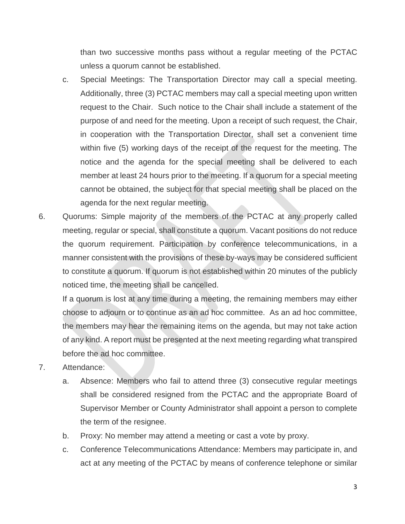than two successive months pass without a regular meeting of the PCTAC unless a quorum cannot be established.

- c. Special Meetings: The Transportation Director may call a special meeting. Additionally, three (3) PCTAC members may call a special meeting upon written request to the Chair. Such notice to the Chair shall include a statement of the purpose of and need for the meeting. Upon a receipt of such request, the Chair, in cooperation with the Transportation Director, shall set a convenient time within five (5) working days of the receipt of the request for the meeting. The notice and the agenda for the special meeting shall be delivered to each member at least 24 hours prior to the meeting. If a quorum for a special meeting cannot be obtained, the subject for that special meeting shall be placed on the agenda for the next regular meeting.
- 6. Quorums: Simple majority of the members of the PCTAC at any properly called meeting, regular or special, shall constitute a quorum. Vacant positions do not reduce the quorum requirement. Participation by conference telecommunications, in a manner consistent with the provisions of these by-ways may be considered sufficient to constitute a quorum. If quorum is not established within 20 minutes of the publicly noticed time, the meeting shall be cancelled.

If a quorum is lost at any time during a meeting, the remaining members may either choose to adjourn or to continue as an ad hoc committee. As an ad hoc committee, the members may hear the remaining items on the agenda, but may not take action of any kind. A report must be presented at the next meeting regarding what transpired before the ad hoc committee.

- 7. Attendance:
	- a. Absence: Members who fail to attend three (3) consecutive regular meetings shall be considered resigned from the PCTAC and the appropriate Board of Supervisor Member or County Administrator shall appoint a person to complete the term of the resignee.
	- b. Proxy: No member may attend a meeting or cast a vote by proxy.
	- c. Conference Telecommunications Attendance: Members may participate in, and act at any meeting of the PCTAC by means of conference telephone or similar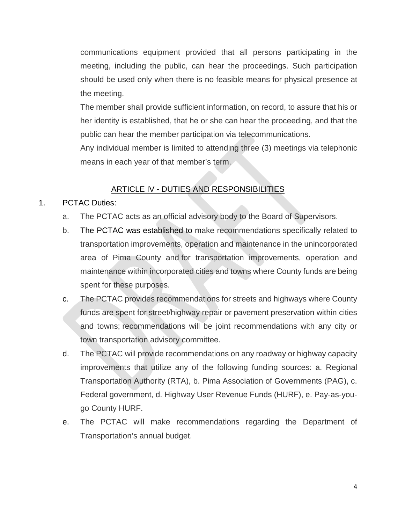communications equipment provided that all persons participating in the meeting, including the public, can hear the proceedings. Such participation should be used only when there is no feasible means for physical presence at the meeting.

The member shall provide sufficient information, on record, to assure that his or her identity is established, that he or she can hear the proceeding, and that the public can hear the member participation via telecommunications.

Any individual member is limited to attending three (3) meetings via telephonic means in each year of that member's term.

### ARTICLE IV - DUTIES AND RESPONSIBILITIES

#### 1. PCTAC Duties:

- a. The PCTAC acts as an official advisory body to the Board of Supervisors.
- b. The PCTAC was established to make recommendations specifically related to transportation improvements, operation and maintenance in the unincorporated area of Pima County and for transportation improvements, operation and maintenance within incorporated cities and towns where County funds are being spent for these purposes.
- c. The PCTAC provides recommendations for streets and highways where County funds are spent for street/highway repair or pavement preservation within cities and towns; recommendations will be joint recommendations with any city or town transportation advisory committee.
- d. The PCTAC will provide recommendations on any roadway or highway capacity improvements that utilize any of the following funding sources: a. Regional Transportation Authority (RTA), b. Pima Association of Governments (PAG), c. Federal government, d. Highway User Revenue Funds (HURF), e. Pay-as-yougo County HURF.
- e. The PCTAC will make recommendations regarding the Department of Transportation's annual budget.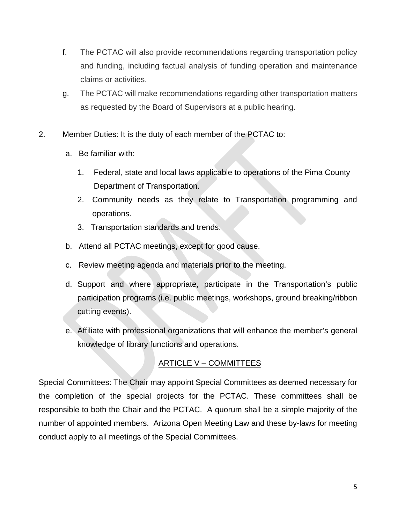- f. The PCTAC will also provide recommendations regarding transportation policy and funding, including factual analysis of funding operation and maintenance claims or activities.
- g. The PCTAC will make recommendations regarding other transportation matters as requested by the Board of Supervisors at a public hearing.
- 2. Member Duties: It is the duty of each member of the PCTAC to:
	- a. Be familiar with:
		- 1. Federal, state and local laws applicable to operations of the Pima County Department of Transportation.
		- 2. Community needs as they relate to Transportation programming and operations.
		- 3. Transportation standards and trends.
	- b. Attend all PCTAC meetings, except for good cause.
	- c. Review meeting agenda and materials prior to the meeting.
	- d. Support and where appropriate, participate in the Transportation's public participation programs (i.e. public meetings, workshops, ground breaking/ribbon cutting events).
	- e. Affiliate with professional organizations that will enhance the member's general knowledge of library functions and operations.

# ARTICLE V – COMMITTEES

Special Committees: The Chair may appoint Special Committees as deemed necessary for the completion of the special projects for the PCTAC. These committees shall be responsible to both the Chair and the PCTAC. A quorum shall be a simple majority of the number of appointed members. Arizona Open Meeting Law and these by-laws for meeting conduct apply to all meetings of the Special Committees.